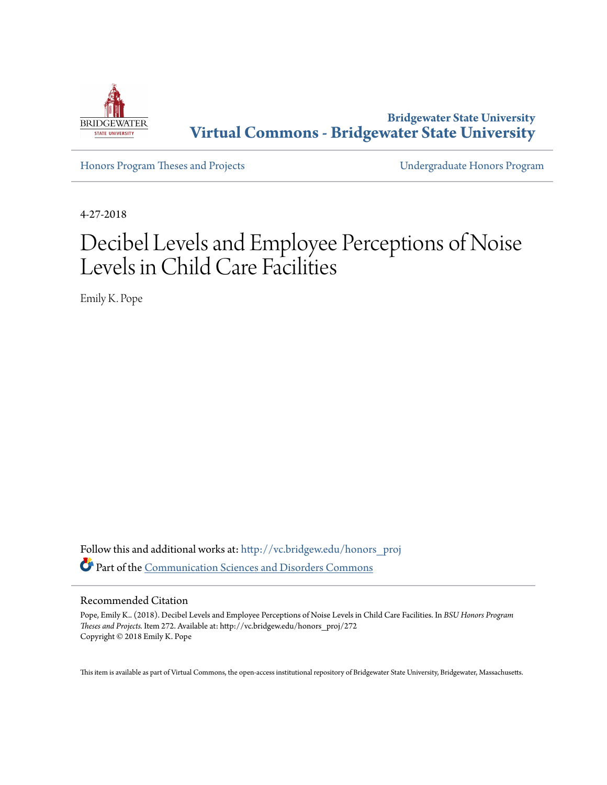

**Bridgewater State University [Virtual Commons - Bridgewater State University](http://vc.bridgew.edu?utm_source=vc.bridgew.edu%2Fhonors_proj%2F272&utm_medium=PDF&utm_campaign=PDFCoverPages)**

[Honors Program Theses and Projects](http://vc.bridgew.edu/honors_proj?utm_source=vc.bridgew.edu%2Fhonors_proj%2F272&utm_medium=PDF&utm_campaign=PDFCoverPages) [Undergraduate Honors Program](http://vc.bridgew.edu/honors?utm_source=vc.bridgew.edu%2Fhonors_proj%2F272&utm_medium=PDF&utm_campaign=PDFCoverPages)

4-27-2018

# Decibel Levels and Employee Perceptions of Noise Levels in Child Care Facilities

Emily K. Pope

Follow this and additional works at: [http://vc.bridgew.edu/honors\\_proj](http://vc.bridgew.edu/honors_proj?utm_source=vc.bridgew.edu%2Fhonors_proj%2F272&utm_medium=PDF&utm_campaign=PDFCoverPages) Part of the [Communication Sciences and Disorders Commons](http://network.bepress.com/hgg/discipline/1019?utm_source=vc.bridgew.edu%2Fhonors_proj%2F272&utm_medium=PDF&utm_campaign=PDFCoverPages)

#### Recommended Citation

Pope, Emily K.. (2018). Decibel Levels and Employee Perceptions of Noise Levels in Child Care Facilities. In *BSU Honors Program Theses and Projects.* Item 272. Available at: http://vc.bridgew.edu/honors\_proj/272 Copyright © 2018 Emily K. Pope

This item is available as part of Virtual Commons, the open-access institutional repository of Bridgewater State University, Bridgewater, Massachusetts.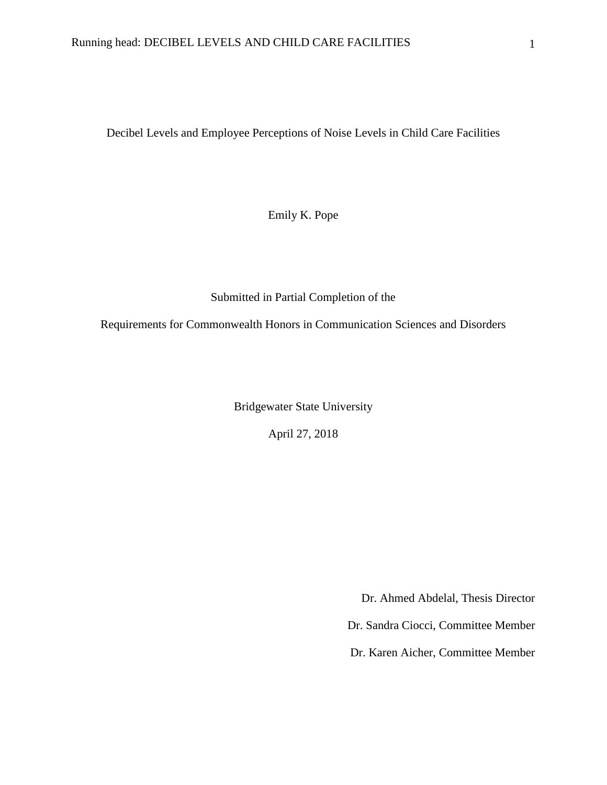Decibel Levels and Employee Perceptions of Noise Levels in Child Care Facilities

Emily K. Pope

Submitted in Partial Completion of the

Requirements for Commonwealth Honors in Communication Sciences and Disorders

Bridgewater State University

April 27, 2018

Dr. Ahmed Abdelal, Thesis Director

Dr. Sandra Ciocci, Committee Member

Dr. Karen Aicher, Committee Member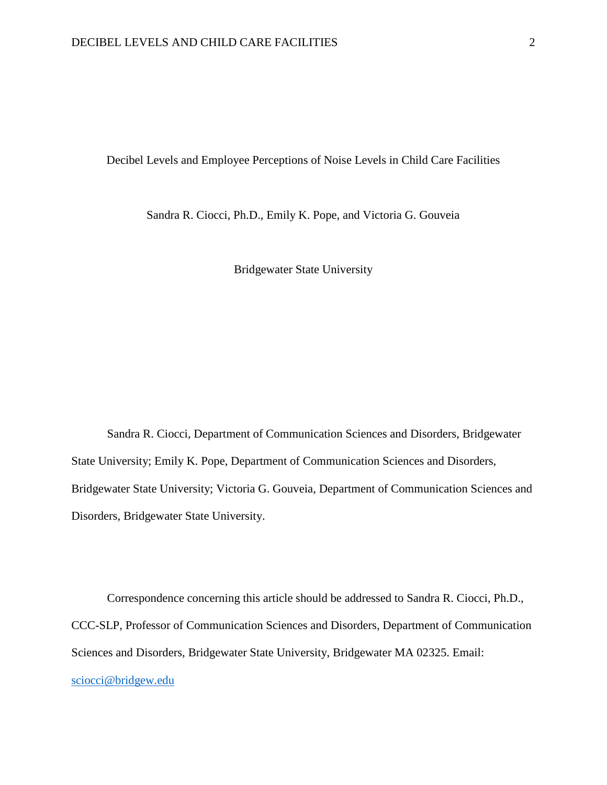Decibel Levels and Employee Perceptions of Noise Levels in Child Care Facilities

Sandra R. Ciocci, Ph.D., Emily K. Pope, and Victoria G. Gouveia

Bridgewater State University

Sandra R. Ciocci, Department of Communication Sciences and Disorders, Bridgewater State University; Emily K. Pope, Department of Communication Sciences and Disorders, Bridgewater State University; Victoria G. Gouveia, Department of Communication Sciences and Disorders, Bridgewater State University.

Correspondence concerning this article should be addressed to Sandra R. Ciocci, Ph.D., CCC-SLP, Professor of Communication Sciences and Disorders, Department of Communication Sciences and Disorders, Bridgewater State University, Bridgewater MA 02325. Email: [sciocci@bridgew.edu](mailto:sciocci@bridgew.edu)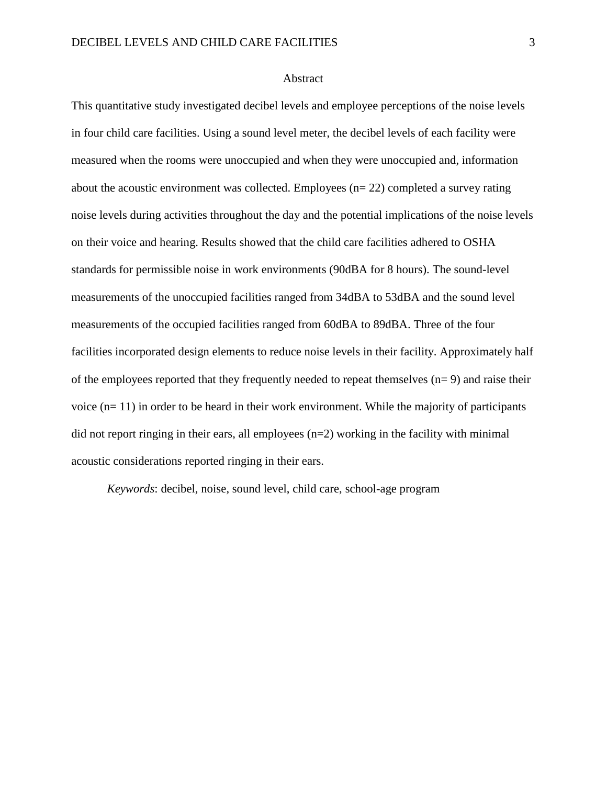#### Abstract

This quantitative study investigated decibel levels and employee perceptions of the noise levels in four child care facilities. Using a sound level meter, the decibel levels of each facility were measured when the rooms were unoccupied and when they were unoccupied and, information about the acoustic environment was collected. Employees (n= 22) completed a survey rating noise levels during activities throughout the day and the potential implications of the noise levels on their voice and hearing. Results showed that the child care facilities adhered to OSHA standards for permissible noise in work environments (90dBA for 8 hours). The sound-level measurements of the unoccupied facilities ranged from 34dBA to 53dBA and the sound level measurements of the occupied facilities ranged from 60dBA to 89dBA. Three of the four facilities incorporated design elements to reduce noise levels in their facility. Approximately half of the employees reported that they frequently needed to repeat themselves  $(n= 9)$  and raise their voice  $(n=11)$  in order to be heard in their work environment. While the majority of participants did not report ringing in their ears, all employees (n=2) working in the facility with minimal acoustic considerations reported ringing in their ears.

*Keywords*: decibel, noise, sound level, child care, school-age program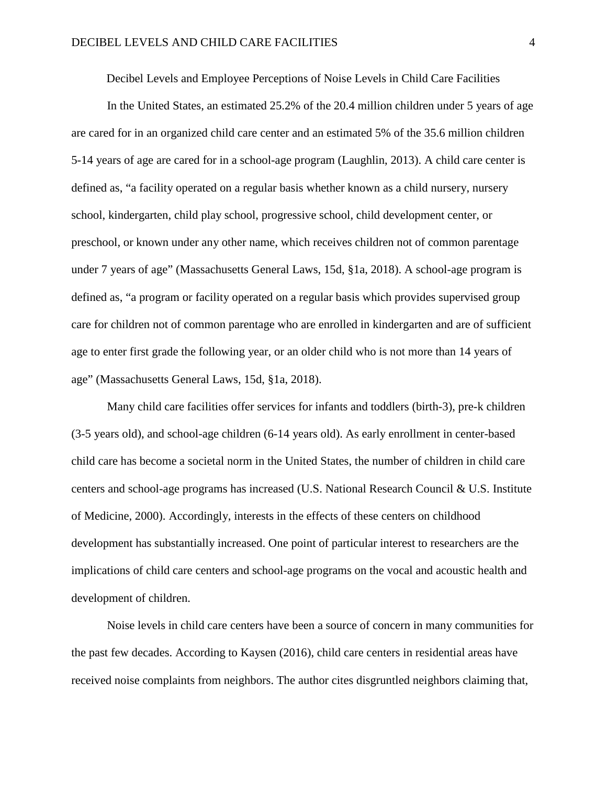Decibel Levels and Employee Perceptions of Noise Levels in Child Care Facilities

In the United States, an estimated 25.2% of the 20.4 million children under 5 years of age are cared for in an organized child care center and an estimated 5% of the 35.6 million children 5-14 years of age are cared for in a school-age program (Laughlin, 2013). A child care center is defined as, "a facility operated on a regular basis whether known as a child nursery, nursery school, kindergarten, child play school, progressive school, child development center, or preschool, or known under any other name, which receives children not of common parentage under 7 years of age" (Massachusetts General Laws, 15d, §1a, 2018). A school-age program is defined as, "a program or facility operated on a regular basis which provides supervised group care for children not of common parentage who are enrolled in kindergarten and are of sufficient age to enter first grade the following year, or an older child who is not more than 14 years of age" (Massachusetts General Laws, 15d, §1a, 2018).

Many child care facilities offer services for infants and toddlers (birth-3), pre-k children (3-5 years old), and school-age children (6-14 years old). As early enrollment in center-based child care has become a societal norm in the United States, the number of children in child care centers and school-age programs has increased (U.S. National Research Council & U.S. Institute of Medicine, 2000). Accordingly, interests in the effects of these centers on childhood development has substantially increased. One point of particular interest to researchers are the implications of child care centers and school-age programs on the vocal and acoustic health and development of children.

Noise levels in child care centers have been a source of concern in many communities for the past few decades. According to Kaysen (2016), child care centers in residential areas have received noise complaints from neighbors. The author cites disgruntled neighbors claiming that,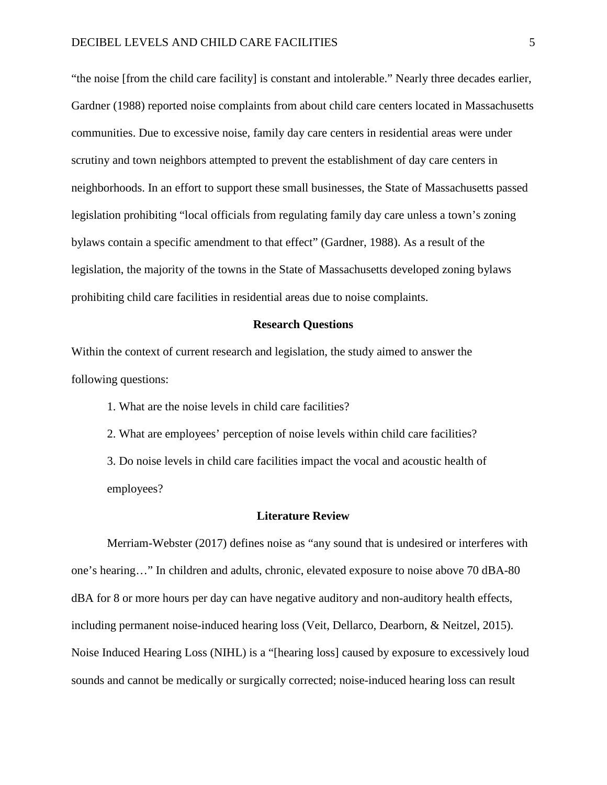"the noise [from the child care facility] is constant and intolerable." Nearly three decades earlier, Gardner (1988) reported noise complaints from about child care centers located in Massachusetts communities. Due to excessive noise, family day care centers in residential areas were under scrutiny and town neighbors attempted to prevent the establishment of day care centers in neighborhoods. In an effort to support these small businesses, the State of Massachusetts passed legislation prohibiting "local officials from regulating family day care unless a town's zoning bylaws contain a specific amendment to that effect" (Gardner, 1988). As a result of the legislation, the majority of the towns in the State of Massachusetts developed zoning bylaws prohibiting child care facilities in residential areas due to noise complaints.

#### **Research Questions**

Within the context of current research and legislation, the study aimed to answer the following questions:

1. What are the noise levels in child care facilities?

2. What are employees' perception of noise levels within child care facilities? 3. Do noise levels in child care facilities impact the vocal and acoustic health of employees?

#### **Literature Review**

Merriam-Webster (2017) defines noise as "any sound that is undesired or interferes with one's hearing…" In children and adults, chronic, elevated exposure to noise above 70 dBA-80 dBA for 8 or more hours per day can have negative auditory and non-auditory health effects, including permanent noise-induced hearing loss (Veit, Dellarco, Dearborn, & Neitzel, 2015). Noise Induced Hearing Loss (NIHL) is a "[hearing loss] caused by exposure to excessively loud sounds and cannot be medically or surgically corrected; noise-induced hearing loss can result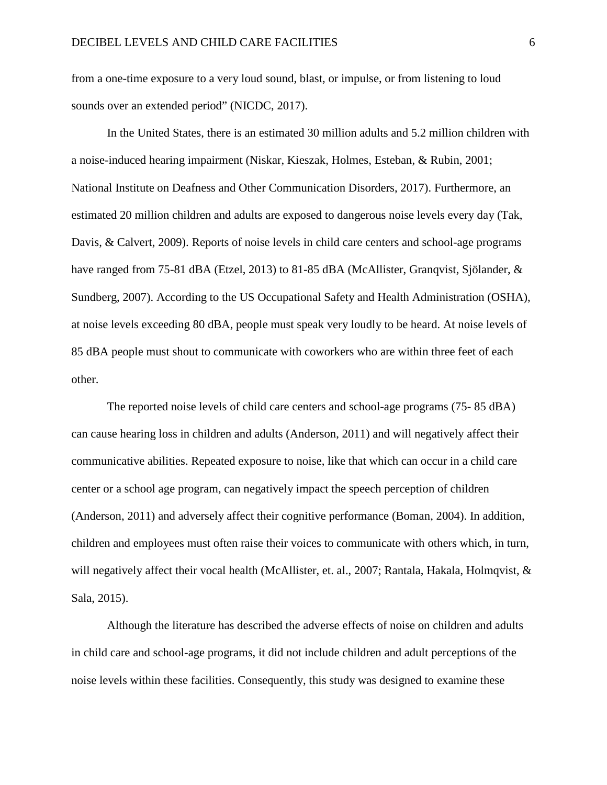from a one-time exposure to a very loud sound, blast, or impulse, or from listening to loud sounds over an extended period" (NICDC, 2017).

In the United States, there is an estimated 30 million adults and 5.2 million children with a noise-induced hearing impairment (Niskar, Kieszak, Holmes, Esteban, & Rubin, 2001; National Institute on Deafness and Other Communication Disorders, 2017). Furthermore, an estimated 20 million children and adults are exposed to dangerous noise levels every day (Tak, Davis, & Calvert, 2009). Reports of noise levels in child care centers and school-age programs have ranged from 75-81 dBA (Etzel, 2013) to 81-85 dBA (McAllister, Granqvist, Sjölander, & Sundberg, 2007). According to the US Occupational Safety and Health Administration (OSHA), at noise levels exceeding 80 dBA, people must speak very loudly to be heard. At noise levels of 85 dBA people must shout to communicate with coworkers who are within three feet of each other.

The reported noise levels of child care centers and school-age programs (75- 85 dBA) can cause hearing loss in children and adults (Anderson, 2011) and will negatively affect their communicative abilities. Repeated exposure to noise, like that which can occur in a child care center or a school age program, can negatively impact the speech perception of children (Anderson, 2011) and adversely affect their cognitive performance (Boman, 2004). In addition, children and employees must often raise their voices to communicate with others which, in turn, will negatively affect their vocal health (McAllister, et. al., 2007; Rantala, Hakala, Holmqvist, & Sala, 2015).

Although the literature has described the adverse effects of noise on children and adults in child care and school-age programs, it did not include children and adult perceptions of the noise levels within these facilities. Consequently, this study was designed to examine these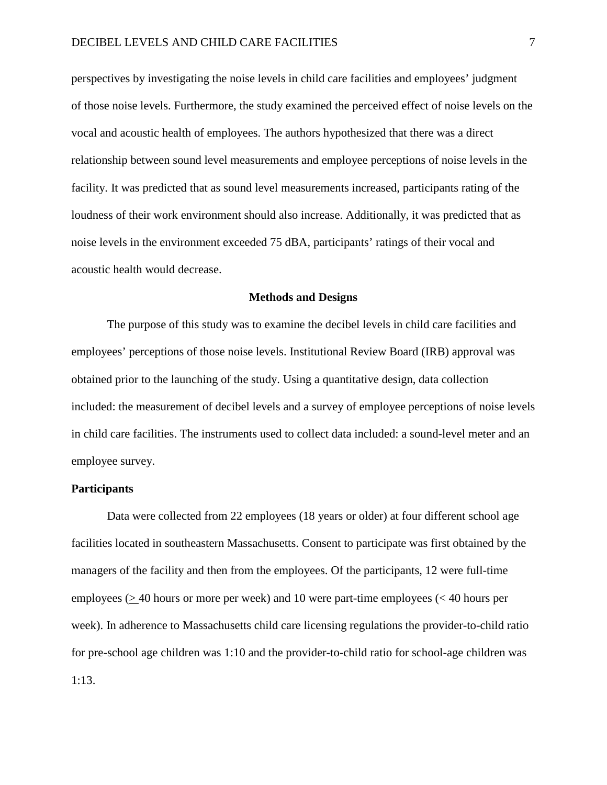perspectives by investigating the noise levels in child care facilities and employees' judgment of those noise levels. Furthermore, the study examined the perceived effect of noise levels on the vocal and acoustic health of employees. The authors hypothesized that there was a direct relationship between sound level measurements and employee perceptions of noise levels in the facility. It was predicted that as sound level measurements increased, participants rating of the loudness of their work environment should also increase. Additionally, it was predicted that as noise levels in the environment exceeded 75 dBA, participants' ratings of their vocal and acoustic health would decrease.

#### **Methods and Designs**

The purpose of this study was to examine the decibel levels in child care facilities and employees' perceptions of those noise levels. Institutional Review Board (IRB) approval was obtained prior to the launching of the study. Using a quantitative design, data collection included: the measurement of decibel levels and a survey of employee perceptions of noise levels in child care facilities. The instruments used to collect data included: a sound-level meter and an employee survey.

#### **Participants**

Data were collected from 22 employees (18 years or older) at four different school age facilities located in southeastern Massachusetts. Consent to participate was first obtained by the managers of the facility and then from the employees. Of the participants, 12 were full-time employees (> 40 hours or more per week) and 10 were part-time employees (< 40 hours per week). In adherence to Massachusetts child care licensing regulations the provider-to-child ratio for pre-school age children was 1:10 and the provider-to-child ratio for school-age children was 1:13.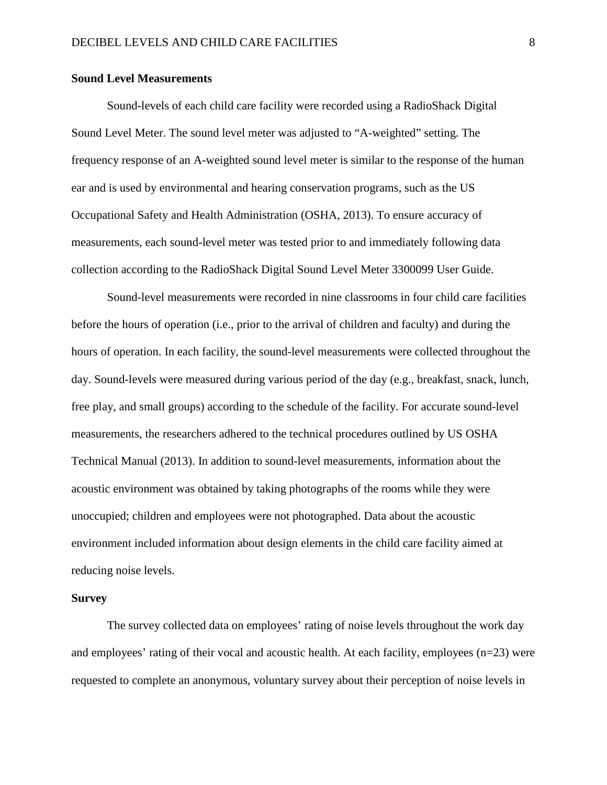#### **Sound Level Measurements**

Sound-levels of each child care facility were recorded using a RadioShack Digital Sound Level Meter. The sound level meter was adjusted to "A-weighted" setting. The frequency response of an A-weighted sound level meter is similar to the response of the human ear and is used by environmental and hearing conservation programs, such as the US Occupational Safety and Health Administration (OSHA, 2013). To ensure accuracy of measurements, each sound-level meter was tested prior to and immediately following data collection according to the RadioShack Digital Sound Level Meter 3300099 User Guide.

Sound-level measurements were recorded in nine classrooms in four child care facilities before the hours of operation (i.e., prior to the arrival of children and faculty) and during the hours of operation. In each facility, the sound-level measurements were collected throughout the day. Sound-levels were measured during various period of the day (e.g., breakfast, snack, lunch, free play, and small groups) according to the schedule of the facility. For accurate sound-level measurements, the researchers adhered to the technical procedures outlined by US OSHA Technical Manual (2013). In addition to sound-level measurements, information about the acoustic environment was obtained by taking photographs of the rooms while they were unoccupied; children and employees were not photographed. Data about the acoustic environment included information about design elements in the child care facility aimed at reducing noise levels.

#### **Survey**

The survey collected data on employees' rating of noise levels throughout the work day and employees' rating of their vocal and acoustic health. At each facility, employees (n=23) were requested to complete an anonymous, voluntary survey about their perception of noise levels in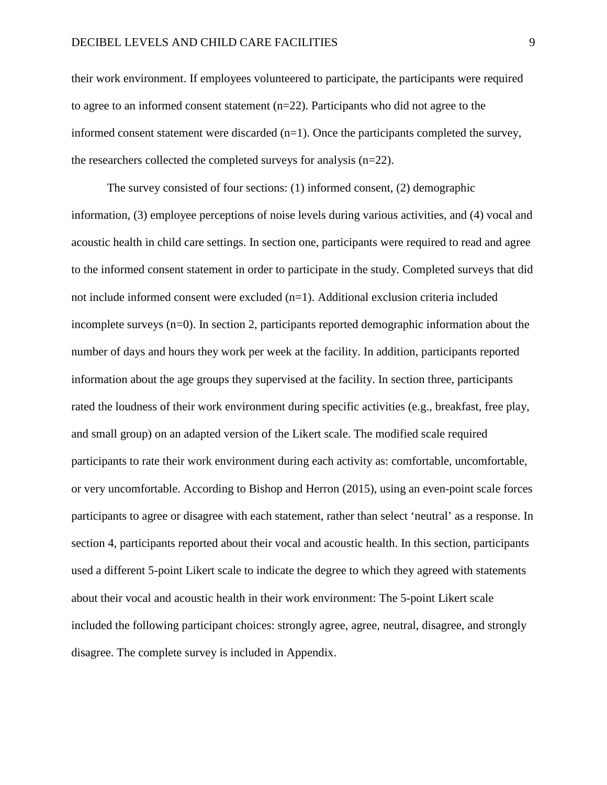their work environment. If employees volunteered to participate, the participants were required to agree to an informed consent statement (n=22). Participants who did not agree to the informed consent statement were discarded  $(n=1)$ . Once the participants completed the survey, the researchers collected the completed surveys for analysis (n=22).

The survey consisted of four sections: (1) informed consent, (2) demographic information, (3) employee perceptions of noise levels during various activities, and (4) vocal and acoustic health in child care settings. In section one, participants were required to read and agree to the informed consent statement in order to participate in the study. Completed surveys that did not include informed consent were excluded (n=1). Additional exclusion criteria included incomplete surveys (n=0). In section 2, participants reported demographic information about the number of days and hours they work per week at the facility. In addition, participants reported information about the age groups they supervised at the facility. In section three, participants rated the loudness of their work environment during specific activities (e.g., breakfast, free play, and small group) on an adapted version of the Likert scale. The modified scale required participants to rate their work environment during each activity as: comfortable, uncomfortable, or very uncomfortable. According to Bishop and Herron (2015), using an even-point scale forces participants to agree or disagree with each statement, rather than select 'neutral' as a response. In section 4, participants reported about their vocal and acoustic health. In this section, participants used a different 5-point Likert scale to indicate the degree to which they agreed with statements about their vocal and acoustic health in their work environment: The 5-point Likert scale included the following participant choices: strongly agree, agree, neutral, disagree, and strongly disagree. The complete survey is included in Appendix.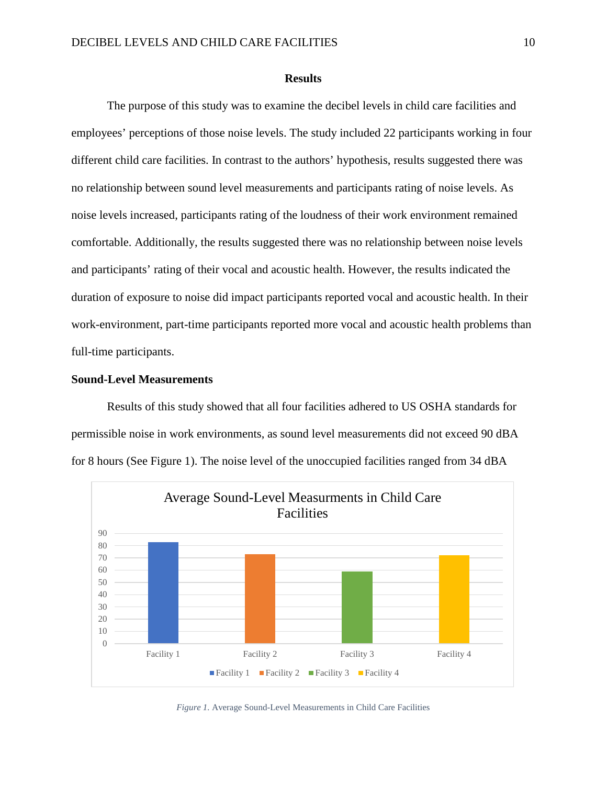#### **Results**

The purpose of this study was to examine the decibel levels in child care facilities and employees' perceptions of those noise levels. The study included 22 participants working in four different child care facilities. In contrast to the authors' hypothesis, results suggested there was no relationship between sound level measurements and participants rating of noise levels. As noise levels increased, participants rating of the loudness of their work environment remained comfortable. Additionally, the results suggested there was no relationship between noise levels and participants' rating of their vocal and acoustic health. However, the results indicated the duration of exposure to noise did impact participants reported vocal and acoustic health. In their work-environment, part-time participants reported more vocal and acoustic health problems than full-time participants.

#### **Sound-Level Measurements**

Results of this study showed that all four facilities adhered to US OSHA standards for permissible noise in work environments, as sound level measurements did not exceed 90 dBA for 8 hours (See Figure 1). The noise level of the unoccupied facilities ranged from 34 dBA



*Figure 1.* Average Sound-Level Measurements in Child Care Facilities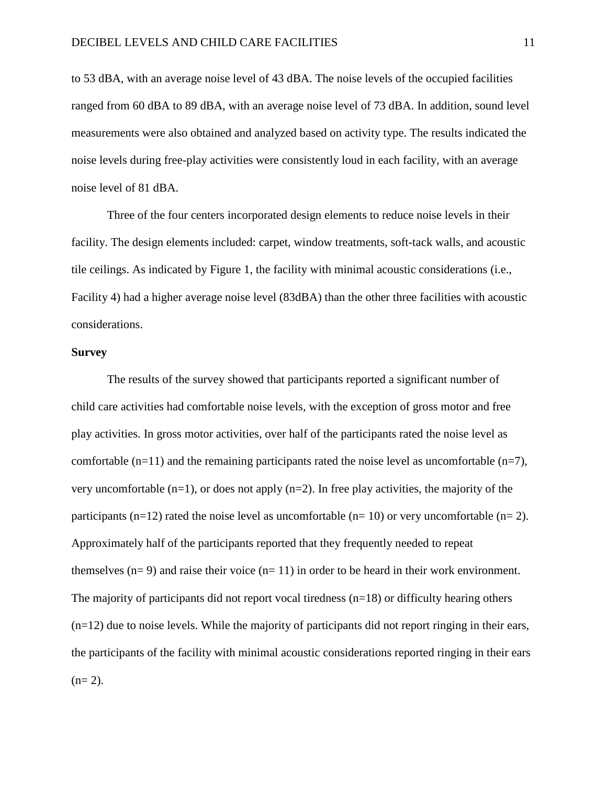to 53 dBA, with an average noise level of 43 dBA. The noise levels of the occupied facilities ranged from 60 dBA to 89 dBA, with an average noise level of 73 dBA. In addition, sound level measurements were also obtained and analyzed based on activity type. The results indicated the noise levels during free-play activities were consistently loud in each facility, with an average noise level of 81 dBA.

Three of the four centers incorporated design elements to reduce noise levels in their facility. The design elements included: carpet, window treatments, soft-tack walls, and acoustic tile ceilings. As indicated by Figure 1, the facility with minimal acoustic considerations (i.e., Facility 4) had a higher average noise level (83dBA) than the other three facilities with acoustic considerations.

#### **Survey**

The results of the survey showed that participants reported a significant number of child care activities had comfortable noise levels, with the exception of gross motor and free play activities. In gross motor activities, over half of the participants rated the noise level as comfortable  $(n=11)$  and the remaining participants rated the noise level as uncomfortable  $(n=7)$ , very uncomfortable  $(n=1)$ , or does not apply  $(n=2)$ . In free play activities, the majority of the participants (n=12) rated the noise level as uncomfortable (n= 10) or very uncomfortable (n= 2). Approximately half of the participants reported that they frequently needed to repeat themselves  $(n= 9)$  and raise their voice  $(n= 11)$  in order to be heard in their work environment. The majority of participants did not report vocal tiredness  $(n=18)$  or difficulty hearing others (n=12) due to noise levels. While the majority of participants did not report ringing in their ears, the participants of the facility with minimal acoustic considerations reported ringing in their ears  $(n= 2)$ .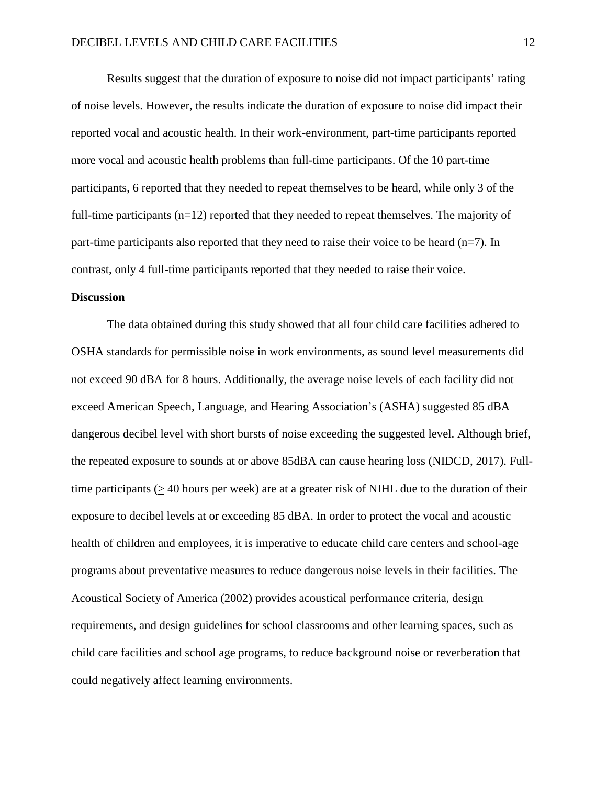Results suggest that the duration of exposure to noise did not impact participants' rating of noise levels. However, the results indicate the duration of exposure to noise did impact their reported vocal and acoustic health. In their work-environment, part-time participants reported more vocal and acoustic health problems than full-time participants. Of the 10 part-time participants, 6 reported that they needed to repeat themselves to be heard, while only 3 of the full-time participants (n=12) reported that they needed to repeat themselves. The majority of part-time participants also reported that they need to raise their voice to be heard  $(n=7)$ . In contrast, only 4 full-time participants reported that they needed to raise their voice.

#### **Discussion**

The data obtained during this study showed that all four child care facilities adhered to OSHA standards for permissible noise in work environments, as sound level measurements did not exceed 90 dBA for 8 hours. Additionally, the average noise levels of each facility did not exceed American Speech, Language, and Hearing Association's (ASHA) suggested 85 dBA dangerous decibel level with short bursts of noise exceeding the suggested level. Although brief, the repeated exposure to sounds at or above 85dBA can cause hearing loss (NIDCD, 2017). Fulltime participants (> 40 hours per week) are at a greater risk of NIHL due to the duration of their exposure to decibel levels at or exceeding 85 dBA. In order to protect the vocal and acoustic health of children and employees, it is imperative to educate child care centers and school-age programs about preventative measures to reduce dangerous noise levels in their facilities. The Acoustical Society of America (2002) provides acoustical performance criteria, design requirements, and design guidelines for school classrooms and other learning spaces, such as child care facilities and school age programs, to reduce background noise or reverberation that could negatively affect learning environments.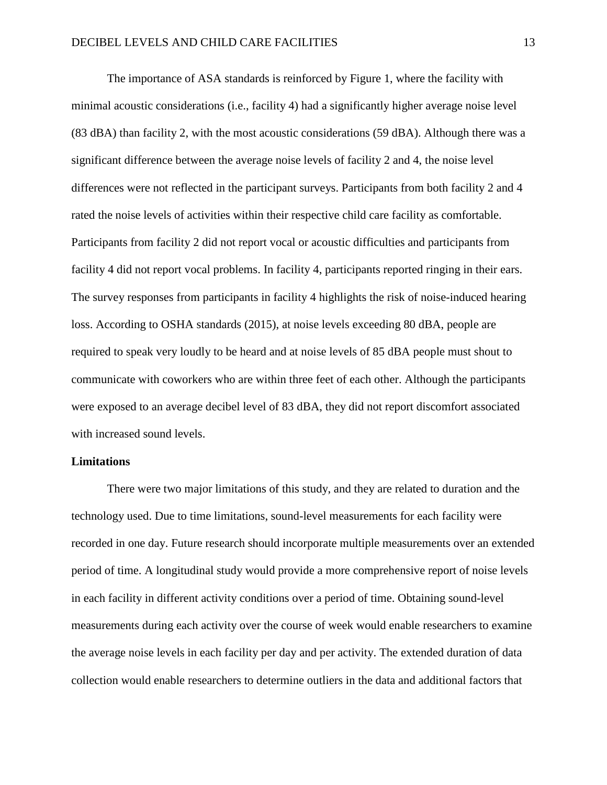The importance of ASA standards is reinforced by Figure 1, where the facility with minimal acoustic considerations (i.e., facility 4) had a significantly higher average noise level (83 dBA) than facility 2, with the most acoustic considerations (59 dBA). Although there was a significant difference between the average noise levels of facility 2 and 4, the noise level differences were not reflected in the participant surveys. Participants from both facility 2 and 4 rated the noise levels of activities within their respective child care facility as comfortable. Participants from facility 2 did not report vocal or acoustic difficulties and participants from facility 4 did not report vocal problems. In facility 4, participants reported ringing in their ears. The survey responses from participants in facility 4 highlights the risk of noise-induced hearing loss. According to OSHA standards (2015), at noise levels exceeding 80 dBA, people are required to speak very loudly to be heard and at noise levels of 85 dBA people must shout to communicate with coworkers who are within three feet of each other. Although the participants were exposed to an average decibel level of 83 dBA, they did not report discomfort associated with increased sound levels.

#### **Limitations**

There were two major limitations of this study, and they are related to duration and the technology used. Due to time limitations, sound-level measurements for each facility were recorded in one day. Future research should incorporate multiple measurements over an extended period of time. A longitudinal study would provide a more comprehensive report of noise levels in each facility in different activity conditions over a period of time. Obtaining sound-level measurements during each activity over the course of week would enable researchers to examine the average noise levels in each facility per day and per activity. The extended duration of data collection would enable researchers to determine outliers in the data and additional factors that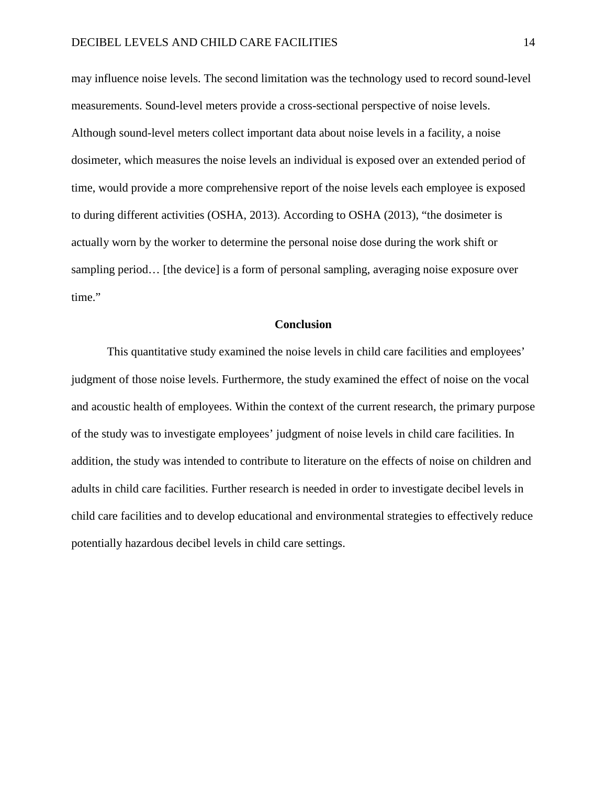may influence noise levels. The second limitation was the technology used to record sound-level measurements. Sound-level meters provide a cross-sectional perspective of noise levels. Although sound-level meters collect important data about noise levels in a facility, a noise dosimeter, which measures the noise levels an individual is exposed over an extended period of time, would provide a more comprehensive report of the noise levels each employee is exposed to during different activities (OSHA, 2013). According to OSHA (2013), "the dosimeter is actually worn by the worker to determine the personal noise dose during the work shift or sampling period… [the device] is a form of personal sampling, averaging noise exposure over time."

#### **Conclusion**

This quantitative study examined the noise levels in child care facilities and employees' judgment of those noise levels. Furthermore, the study examined the effect of noise on the vocal and acoustic health of employees. Within the context of the current research, the primary purpose of the study was to investigate employees' judgment of noise levels in child care facilities. In addition, the study was intended to contribute to literature on the effects of noise on children and adults in child care facilities. Further research is needed in order to investigate decibel levels in child care facilities and to develop educational and environmental strategies to effectively reduce potentially hazardous decibel levels in child care settings.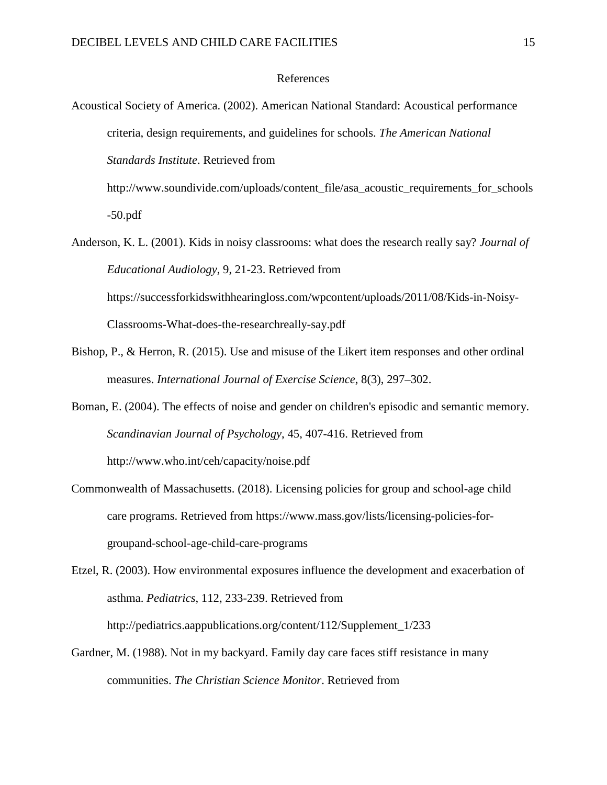#### References

Acoustical Society of America. (2002). American National Standard: Acoustical performance criteria, design requirements, and guidelines for schools. *The American National Standards Institute*. Retrieved from

http://www.soundivide.com/uploads/content\_file/asa\_acoustic\_requirements\_for\_schools -50.pdf

- Anderson, K. L. (2001). Kids in noisy classrooms: what does the research really say? *Journal of Educational Audiology*, 9, 21-23. Retrieved from https://successforkidswithhearingloss.com/wpcontent/uploads/2011/08/Kids-in-Noisy-Classrooms-What-does-the-researchreally-say.pdf
- Bishop, P., & Herron, R. (2015). Use and misuse of the Likert item responses and other ordinal measures. *International Journal of Exercise Science*, 8(3), 297–302.
- Boman, E. (2004). The effects of noise and gender on children's episodic and semantic memory. *Scandinavian Journal of Psychology*, 45, 407-416. Retrieved from http://www.who.int/ceh/capacity/noise.pdf
- Commonwealth of Massachusetts. (2018). Licensing policies for group and school-age child care programs. Retrieved from https://www.mass.gov/lists/licensing-policies-forgroupand-school-age-child-care-programs

Etzel, R. (2003). How environmental exposures influence the development and exacerbation of asthma. *Pediatrics*, 112, 233-239. Retrieved from http://pediatrics.aappublications.org/content/112/Supplement\_1/233

Gardner, M. (1988). Not in my backyard. Family day care faces stiff resistance in many communities. *The Christian Science Monitor*. Retrieved from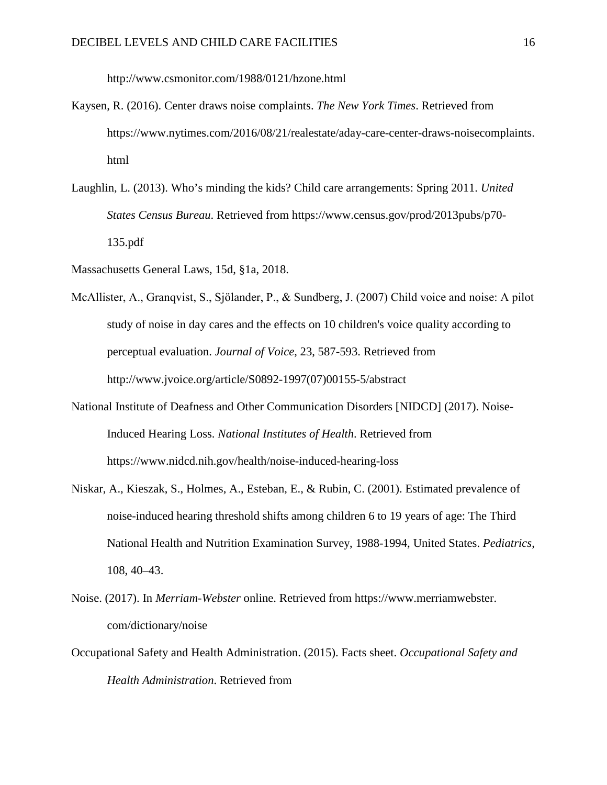http://www.csmonitor.com/1988/0121/hzone.html

- Kaysen, R. (2016). Center draws noise complaints. *The New York Times*. Retrieved from https://www.nytimes.com/2016/08/21/realestate/aday-care-center-draws-noisecomplaints. html
- Laughlin, L. (2013). Who's minding the kids? Child care arrangements: Spring 2011. *United States Census Bureau*. Retrieved from https://www.census.gov/prod/2013pubs/p70- 135.pdf
- Massachusetts General Laws, 15d, §1a, 2018.
- McAllister, A., Granqvist, S., Sjӧlander, P., & Sundberg, J. (2007) Child voice and noise: A pilot study of noise in day cares and the effects on 10 children's voice quality according to perceptual evaluation. *Journal of Voice*, 23, 587-593. Retrieved from http://www.jvoice.org/article/S0892-1997(07)00155-5/abstract
- National Institute of Deafness and Other Communication Disorders [NIDCD] (2017). Noise-Induced Hearing Loss. *National Institutes of Health*. Retrieved from https://www.nidcd.nih.gov/health/noise-induced-hearing-loss
- Niskar, A., Kieszak, S., Holmes, A., Esteban, E., & Rubin, C. (2001). Estimated prevalence of noise-induced hearing threshold shifts among children 6 to 19 years of age: The Third National Health and Nutrition Examination Survey, 1988-1994, United States. *Pediatrics*, 108, 40–43.
- Noise. (2017). In *Merriam-Webster* online. Retrieved from https://www.merriamwebster. com/dictionary/noise
- Occupational Safety and Health Administration. (2015). Facts sheet. *Occupational Safety and Health Administration*. Retrieved from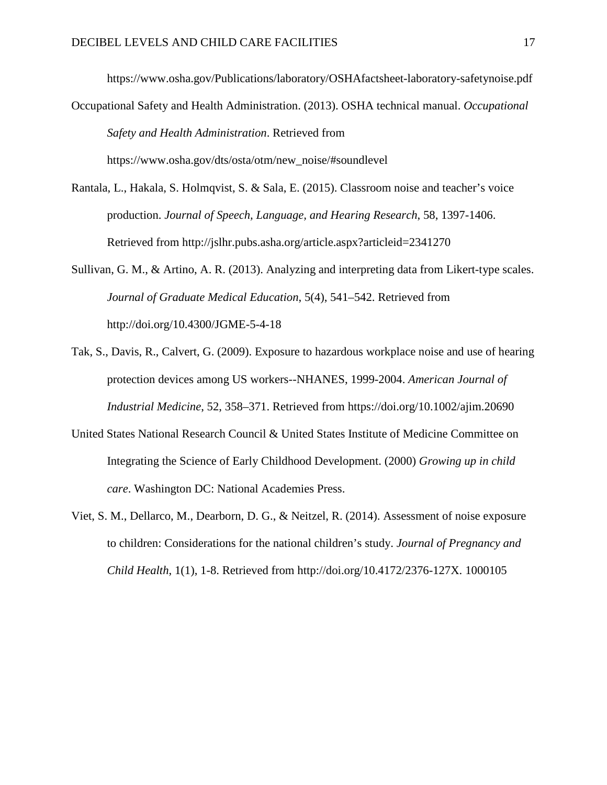https://www.osha.gov/Publications/laboratory/OSHAfactsheet-laboratory-safetynoise.pdf

- Occupational Safety and Health Administration. (2013). OSHA technical manual. *Occupational Safety and Health Administration*. Retrieved from https://www.osha.gov/dts/osta/otm/new\_noise/#soundlevel
	-
- Rantala, L., Hakala, S. Holmqvist, S. & Sala, E. (2015). Classroom noise and teacher's voice production. *Journal of Speech, Language, and Hearing Research*, 58, 1397-1406. Retrieved from http://jslhr.pubs.asha.org/article.aspx?articleid=2341270
- Sullivan, G. M., & Artino, A. R. (2013). Analyzing and interpreting data from Likert-type scales. *Journal of Graduate Medical Education*, 5(4), 541–542. Retrieved from http://doi.org/10.4300/JGME-5-4-18
- Tak, S., Davis, R., Calvert, G. (2009). Exposure to hazardous workplace noise and use of hearing protection devices among US workers--NHANES, 1999-2004. *American Journal of Industrial Medicine*, 52, 358–371. Retrieved from https://doi.org/10.1002/ajim.20690
- United States National Research Council & United States Institute of Medicine Committee on Integrating the Science of Early Childhood Development. (2000) *Growing up in child care*. Washington DC: National Academies Press.
- Viet, S. M., Dellarco, M., Dearborn, D. G., & Neitzel, R. (2014). Assessment of noise exposure to children: Considerations for the national children's study. *Journal of Pregnancy and Child Health*, 1(1), 1-8. Retrieved from http://doi.org/10.4172/2376-127X. 1000105